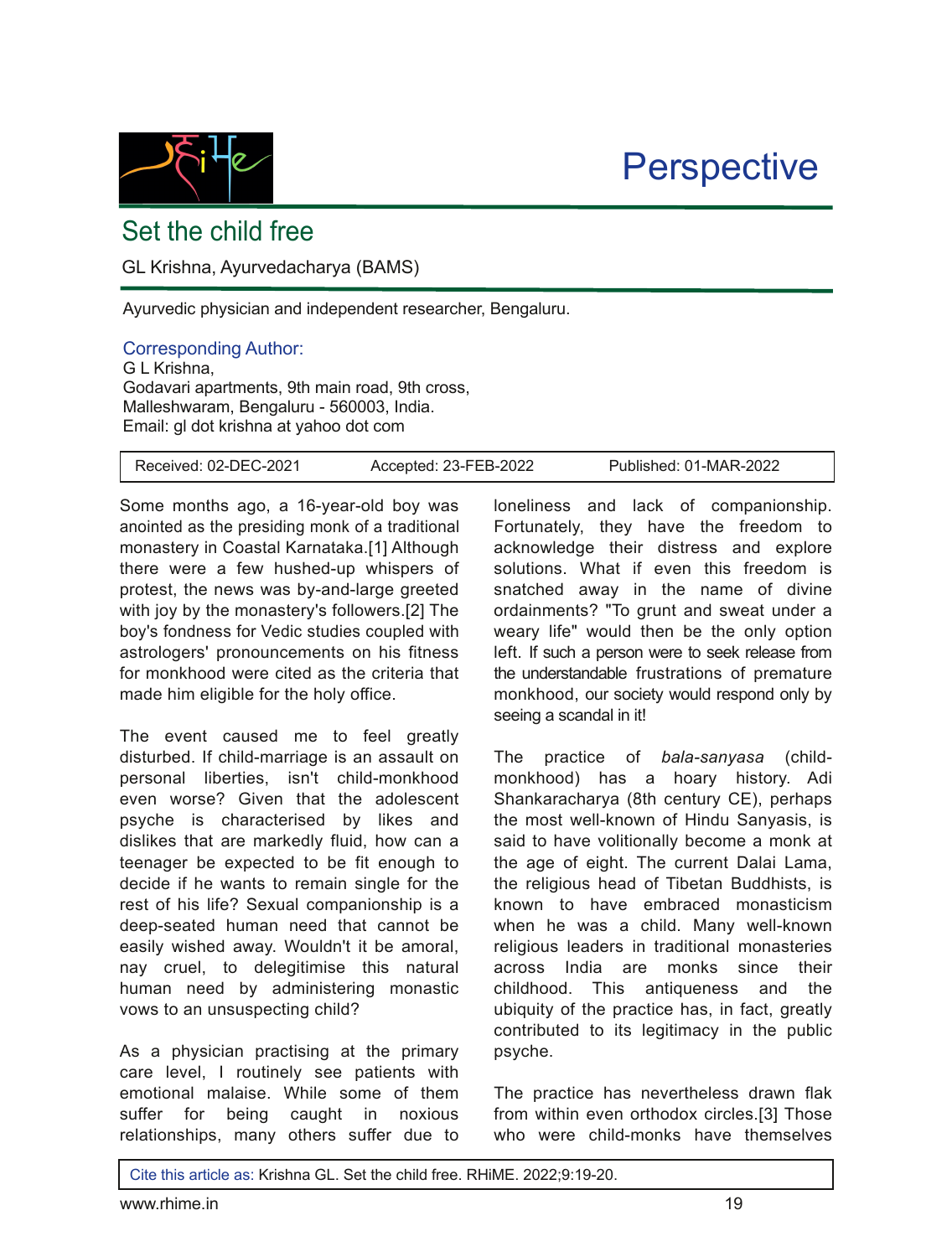

## **Perspective**

## Set the child free

GL Krishna, Ayurvedacharya (BAMS)

Ayurvedic physician and independent researcher, Bengaluru.

## Corresponding Author:

G L Krishna, Godavari apartments, 9th main road, 9th cross, Malleshwaram, Bengaluru - 560003, India. Email: gl dot krishna at yahoo dot com

Some months ago, a 16-year-old boy was anointed as the presiding monk of a traditional monastery in Coastal Karnataka.[1] Although there were a few hushed-up whispers of protest, the news was by-and-large greeted with joy by the monastery's followers.[2] The boy's fondness for Vedic studies coupled with astrologers' pronouncements on his fitness for monkhood were cited as the criteria that made him eligible for the holy office.

The event caused me to feel greatly disturbed. If child-marriage is an assault on personal liberties, isn't child-monkhood even worse? Given that the adolescent psyche is characterised by likes and dislikes that are markedly fluid, how can a teenager be expected to be fit enough to decide if he wants to remain single for the rest of his life? Sexual companionship is a deep-seated human need that cannot be easily wished away. Wouldn't it be amoral, nay cruel, to delegitimise this natural human need by administering monastic vows to an unsuspecting child?

As a physician practising at the primary care level, I routinely see patients with emotional malaise. While some of them suffer for being caught in noxious relationships, many others suffer due to loneliness and lack of companionship. Fortunately, they have the freedom to acknowledge their distress and explore solutions. What if even this freedom is snatched away in the name of divine ordainments? "To grunt and sweat under a weary life" would then be the only option left. If such a person were to seek release from the understandable frustrations of premature monkhood, our society would respond only by seeing a scandal in it!

The practice of *bala-sanyasa* (childmonkhood) has a hoary history. Adi Shankaracharya (8th century CE), perhaps the most well-known of Hindu Sanyasis, is said to have volitionally become a monk at the age of eight. The current Dalai Lama, the religious head of Tibetan Buddhists, is known to have embraced monasticism when he was a child. Many well-known religious leaders in traditional monasteries across India are monks since their childhood. This antiqueness and the ubiquity of the practice has, in fact, greatly contributed to its legitimacy in the public psyche.

The practice has nevertheless drawn flak from within even orthodox circles.[3] Those who were child-monks have themselves